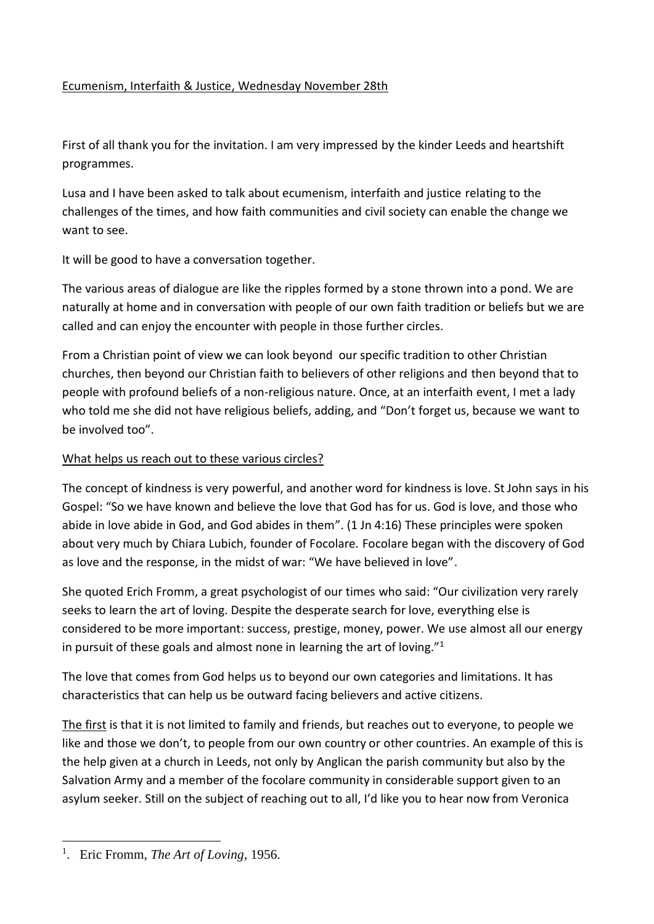# Ecumenism, Interfaith & Justice, Wednesday November 28th

First of all thank you for the invitation. I am very impressed by the kinder Leeds and heartshift programmes.

Lusa and I have been asked to talk about ecumenism, interfaith and justice relating to the challenges of the times, and how faith communities and civil society can enable the change we want to see.

It will be good to have a conversation together.

The various areas of dialogue are like the ripples formed by a stone thrown into a pond. We are naturally at home and in conversation with people of our own faith tradition or beliefs but we are called and can enjoy the encounter with people in those further circles.

From a Christian point of view we can look beyond our specific tradition to other Christian churches, then beyond our Christian faith to believers of other religions and then beyond that to people with profound beliefs of a non-religious nature. Once, at an interfaith event, I met a lady who told me she did not have religious beliefs, adding, and "Don't forget us, because we want to be involved too".

# What helps us reach out to these various circles?

The concept of kindness is very powerful, and another word for kindness is love. St John says in his Gospel: "So we have known and believe the love that God has for us. God is love, and those who abide in love abide in God, and God abides in them". (1 Jn 4:16) These principles were spoken about very much by Chiara Lubich, founder of Focolare. Focolare began with the discovery of God as love and the response, in the midst of war: "We have believed in love".

She quoted Erich Fromm, a great psychologist of our times who said: "Our civilization very rarely seeks to learn the art of loving. Despite the desperate search for love, everything else is considered to be more important: success, prestige, money, power. We use almost all our energy in pursuit of these goals and almost none in learning the art of loving."<sup>1</sup>

The love that comes from God helps us to beyond our own categories and limitations. It has characteristics that can help us be outward facing believers and active citizens.

The first is that it is not limited to family and friends, but reaches out to everyone, to people we like and those we don't, to people from our own country or other countries. An example of this is the help given at a church in Leeds, not only by Anglican the parish community but also by the Salvation Army and a member of the focolare community in considerable support given to an asylum seeker. Still on the subject of reaching out to all, I'd like you to hear now from Veronica

<sup>&</sup>lt;sup>1</sup>. Eric Fromm, *The Art of Loving*, 1956.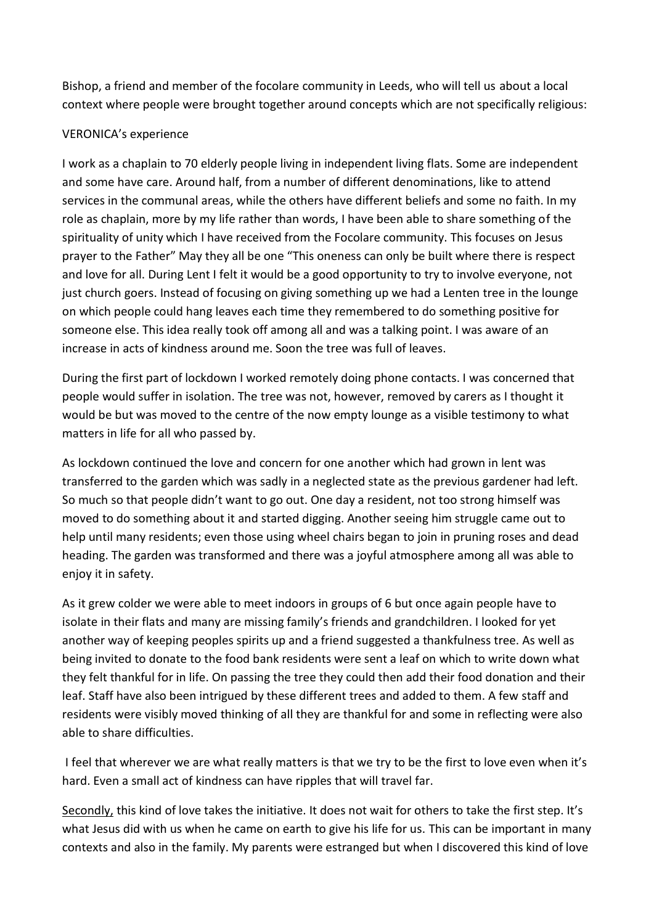Bishop, a friend and member of the focolare community in Leeds, who will tell us about a local context where people were brought together around concepts which are not specifically religious:

## VERONICA's experience

I work as a chaplain to 70 elderly people living in independent living flats. Some are independent and some have care. Around half, from a number of different denominations, like to attend services in the communal areas, while the others have different beliefs and some no faith. In my role as chaplain, more by my life rather than words, I have been able to share something of the spirituality of unity which I have received from the Focolare community. This focuses on Jesus prayer to the Father" May they all be one "This oneness can only be built where there is respect and love for all. During Lent I felt it would be a good opportunity to try to involve everyone, not just church goers. Instead of focusing on giving something up we had a Lenten tree in the lounge on which people could hang leaves each time they remembered to do something positive for someone else. This idea really took off among all and was a talking point. I was aware of an increase in acts of kindness around me. Soon the tree was full of leaves.

During the first part of lockdown I worked remotely doing phone contacts. I was concerned that people would suffer in isolation. The tree was not, however, removed by carers as I thought it would be but was moved to the centre of the now empty lounge as a visible testimony to what matters in life for all who passed by.

As lockdown continued the love and concern for one another which had grown in lent was transferred to the garden which was sadly in a neglected state as the previous gardener had left. So much so that people didn't want to go out. One day a resident, not too strong himself was moved to do something about it and started digging. Another seeing him struggle came out to help until many residents; even those using wheel chairs began to join in pruning roses and dead heading. The garden was transformed and there was a joyful atmosphere among all was able to enjoy it in safety.

As it grew colder we were able to meet indoors in groups of 6 but once again people have to isolate in their flats and many are missing family's friends and grandchildren. I looked for yet another way of keeping peoples spirits up and a friend suggested a thankfulness tree. As well as being invited to donate to the food bank residents were sent a leaf on which to write down what they felt thankful for in life. On passing the tree they could then add their food donation and their leaf. Staff have also been intrigued by these different trees and added to them. A few staff and residents were visibly moved thinking of all they are thankful for and some in reflecting were also able to share difficulties.

I feel that wherever we are what really matters is that we try to be the first to love even when it's hard. Even a small act of kindness can have ripples that will travel far.

Secondly, this kind of love takes the initiative. It does not wait for others to take the first step. It's what Jesus did with us when he came on earth to give his life for us. This can be important in many contexts and also in the family. My parents were estranged but when I discovered this kind of love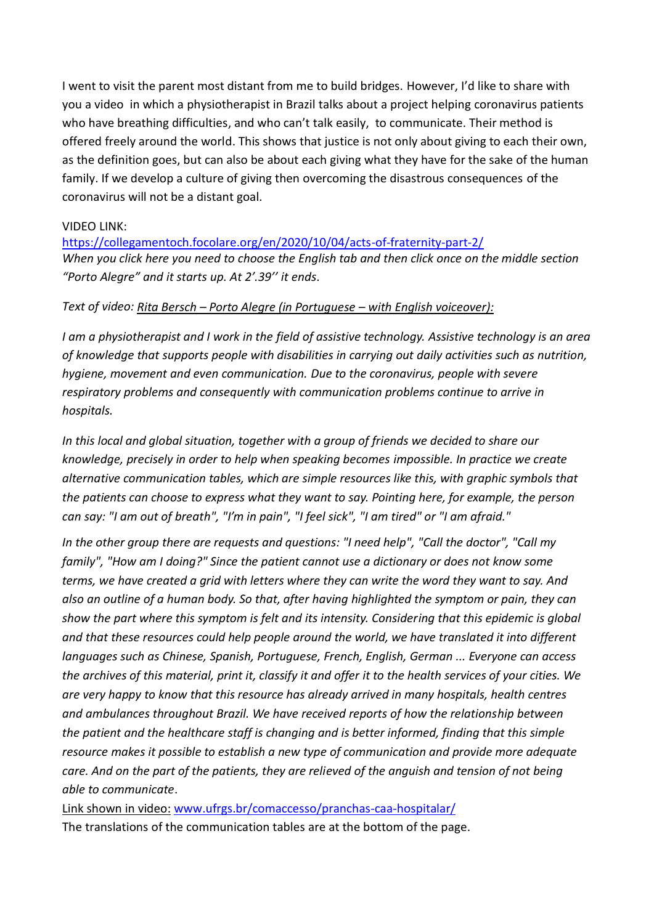I went to visit the parent most distant from me to build bridges. However, I'd like to share with you a video in which a physiotherapist in Brazil talks about a project helping coronavirus patients who have breathing difficulties, and who can't talk easily, to communicate. Their method is offered freely around the world. This shows that justice is not only about giving to each their own, as the definition goes, but can also be about each giving what they have for the sake of the human family. If we develop a culture of giving then overcoming the disastrous consequences of the coronavirus will not be a distant goal.

### VIDEO LINK:

<https://collegamentoch.focolare.org/en/2020/10/04/acts-of-fraternity-part-2/> *When you click here you need to choose the English tab and then click once on the middle section "Porto Alegre" and it starts up. At 2'.39'' it ends.*

### *Text of video: Rita Bersch – Porto Alegre (in Portuguese – with English voiceover):*

*I am a physiotherapist and I work in the field of assistive technology. Assistive technology is an area of knowledge that supports people with disabilities in carrying out daily activities such as nutrition, hygiene, movement and even communication. Due to the coronavirus, people with severe respiratory problems and consequently with communication problems continue to arrive in hospitals.*

*In this local and global situation, together with a group of friends we decided to share our knowledge, precisely in order to help when speaking becomes impossible. In practice we create alternative communication tables, which are simple resources like this, with graphic symbols that the patients can choose to express what they want to say. Pointing here, for example, the person can say: "I am out of breath", "I'm in pain", "I feel sick", "I am tired" or "I am afraid."*

*In the other group there are requests and questions: "I need help", "Call the doctor", "Call my family", "How am I doing?" Since the patient cannot use a dictionary or does not know some terms, we have created a grid with letters where they can write the word they want to say. And also an outline of a human body. So that, after having highlighted the symptom or pain, they can show the part where this symptom is felt and its intensity. Considering that this epidemic is global and that these resources could help people around the world, we have translated it into different languages such as Chinese, Spanish, Portuguese, French, English, German ... Everyone can access the archives of this material, print it, classify it and offer it to the health services of your cities. We are very happy to know that this resource has already arrived in many hospitals, health centres and ambulances throughout Brazil. We have received reports of how the relationship between the patient and the healthcare staff is changing and is better informed, finding that this simple resource makes it possible to establish a new type of communication and provide more adequate care. And on the part of the patients, they are relieved of the anguish and tension of not being able to communicate*.

Link shown in video: [www.ufrgs.br/comaccesso/pranchas-caa-hospitalar/](http://www.ufrgs.br/comaccesso/pranchas-caa-hospitalar/) The translations of the communication tables are at the bottom of the page.